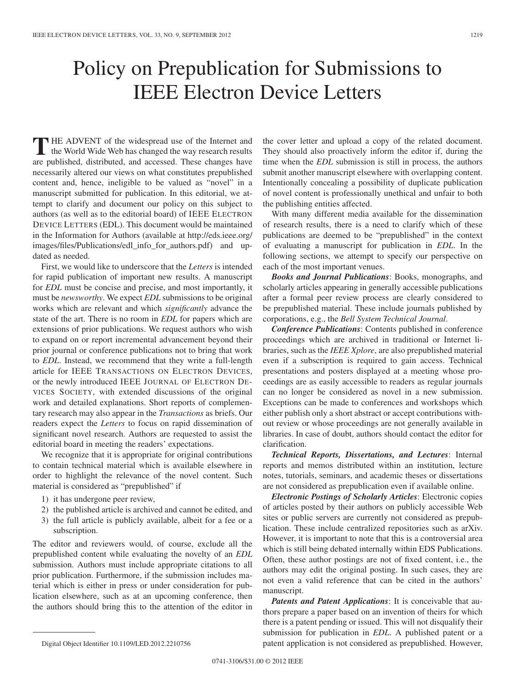## Policy on Prepublication for Submissions to IEEE Electron Device Letters

**T** HE ADVENT of the widespread use of the Internet and the World Wide Web has changed the way research results are published, distributed, and accessed. These changes have necessarily altered our views on what constitutes prepublished content and, hence, ineligible to be valued as "novel" in a manuscript submitted for publication. In this editorial, we attempt to clarify and document our policy on this subject to authors (as well as to the editorial board) of IEEE ELECTRON DEVICE LETTERS (EDL). This document would be maintained in the Information for Authors (available at http://eds.ieee.org/ images/files/Publications/edl\_info\_for\_authors.pdf) and updated as needed.

First, we would like to underscore that the *Letters* is intended for rapid publication of important new results. A manuscript for *EDL* must be concise and precise, and most importantly, it must be *newsworthy*. We expect *EDL* submissions to be original works which are relevant and which *significantly* advance the state of the art. There is no room in *EDL* for papers which are extensions of prior publications. We request authors who wish to expand on or report incremental advancement beyond their prior journal or conference publications not to bring that work to *EDL*. Instead, we recommend that they write a full-length article for IEEE TRANSACTIONS ON ELECTRON DEVICES, or the newly introduced IEEE JOURNAL OF ELECTRON DE-VICES SOCIETY, with extended discussions of the original work and detailed explanations. Short reports of complementary research may also appear in the *Transactions* as briefs. Our readers expect the *Letters* to focus on rapid dissemination of significant novel research. Authors are requested to assist the editorial board in meeting the readers' expectations.

We recognize that it is appropriate for original contributions to contain technical material which is available elsewhere in order to highlight the relevance of the novel content. Such material is considered as "prepublished" if

- 1) it has undergone peer review,
- 2) the published article is archived and cannot be edited, and
- 3) the full article is publicly available, albeit for a fee or a subscription.

The editor and reviewers would, of course, exclude all the prepublished content while evaluating the novelty of an *EDL* submission. Authors must include appropriate citations to all prior publication. Furthermore, if the submission includes material which is either in press or under consideration for publication elsewhere, such as at an upcoming conference, then the authors should bring this to the attention of the editor in the cover letter and upload a copy of the related document. They should also proactively inform the editor if, during the time when the *EDL* submission is still in process, the authors submit another manuscript elsewhere with overlapping content. Intentionally concealing a possibility of duplicate publication of novel content is professionally unethical and unfair to both the publishing entities affected.

With many different media available for the dissemination of research results, there is a need to clarify which of these publications are deemed to be "prepublished" in the context of evaluating a manuscript for publication in *EDL*. In the following sections, we attempt to specify our perspective on each of the most important venues.

*Books and Journal Publications*: Books, monographs, and scholarly articles appearing in generally accessible publications after a formal peer review process are clearly considered to be prepublished material. These include journals published by corporations, e.g., the *Bell System Technical Journal*.

*Conference Publications*: Contents published in conference proceedings which are archived in traditional or Internet libraries, such as the *IEEE Xplore*, are also prepublished material even if a subscription is required to gain access. Technical presentations and posters displayed at a meeting whose proceedings are as easily accessible to readers as regular journals can no longer be considered as novel in a new submission. Exceptions can be made to conferences and workshops which either publish only a short abstract or accept contributions without review or whose proceedings are not generally available in libraries. In case of doubt, authors should contact the editor for clarification.

*Technical Reports, Dissertations, and Lectures*: Internal reports and memos distributed within an institution, lecture notes, tutorials, seminars, and academic theses or dissertations are not considered as prepublication even if available online.

*Electronic Postings of Scholarly Articles*: Electronic copies of articles posted by their authors on publicly accessible Web sites or public servers are currently not considered as prepublication. These include centralized repositories such as arXiv. However, it is important to note that this is a controversial area which is still being debated internally within EDS Publications. Often, these author postings are not of fixed content, i.e., the authors may edit the original posting. In such cases, they are not even a valid reference that can be cited in the authors' manuscript.

*Patents and Patent Applications*: It is conceivable that authors prepare a paper based on an invention of theirs for which there is a patent pending or issued. This will not disqualify their submission for publication in *EDL*. A published patent or a patent application is not considered as prepublished. However,

Digital Object Identifier 10.1109/LED.2012.2210756